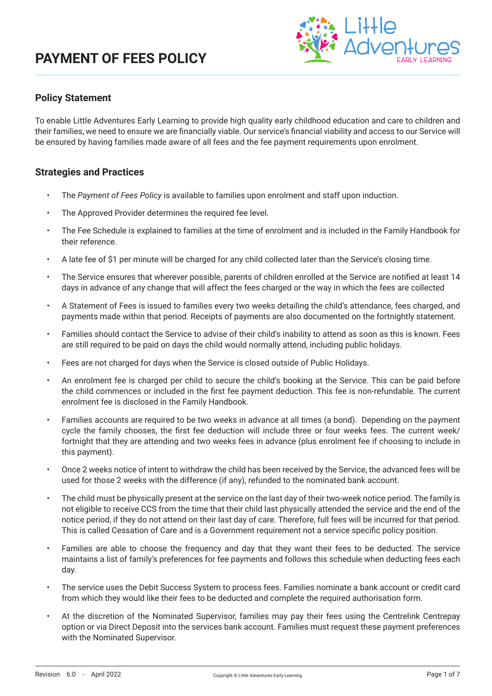

#### **Policy Statement**

To enable Little Adventures Early Learning to provide high quality early childhood education and care to children and their families, we need to ensure we are financially viable. Our service's financial viability and access to our Service will be ensured by having families made aware of all fees and the fee payment requirements upon enrolment.

#### **Strategies and Practices**

- The *Payment of Fees Policy* is available to families upon enrolment and staff upon induction.
- The Approved Provider determines the required fee level.
- The Fee Schedule is explained to families at the time of enrolment and is included in the Family Handbook for their reference.
- A late fee of \$1 per minute will be charged for any child collected later than the Service's closing time.
- The Service ensures that wherever possible, parents of children enrolled at the Service are notified at least 14 days in advance of any change that will affect the fees charged or the way in which the fees are collected
- A Statement of Fees is issued to families every two weeks detailing the child's attendance, fees charged, and payments made within that period. Receipts of payments are also documented on the fortnightly statement.
- Families should contact the Service to advise of their child's inability to attend as soon as this is known. Fees are still required to be paid on days the child would normally attend, including public holidays.
- Fees are not charged for days when the Service is closed outside of Public Holidays.
- An enrolment fee is charged per child to secure the child's booking at the Service. This can be paid before the child commences or included in the first fee payment deduction. This fee is non-refundable. The current enrolment fee is disclosed in the Family Handbook.
- Families accounts are required to be two weeks in advance at all times (a bond). Depending on the payment cycle the family chooses, the first fee deduction will include three or four weeks fees. The current week/ fortnight that they are attending and two weeks fees in advance (plus enrolment fee if choosing to include in this payment).
- Once 2 weeks notice of intent to withdraw the child has been received by the Service, the advanced fees will be used for those 2 weeks with the difference (if any), refunded to the nominated bank account.
- The child must be physically present at the service on the last day of their two-week notice period. The family is not eligible to receive CCS from the time that their child last physically attended the service and the end of the notice period, if they do not attend on their last day of care. Therefore, full fees will be incurred for that period. This is called Cessation of Care and is a Government requirement not a service specific policy position.
- Families are able to choose the frequency and day that they want their fees to be deducted. The service maintains a list of family's preferences for fee payments and follows this schedule when deducting fees each day.
- The service uses the Debit Success System to process fees. Families nominate a bank account or credit card from which they would like their fees to be deducted and complete the required authorisation form.
- At the discretion of the Nominated Supervisor, families may pay their fees using the Centrelink Centrepay option or via Direct Deposit into the services bank account. Families must request these payment preferences with the Nominated Supervisor.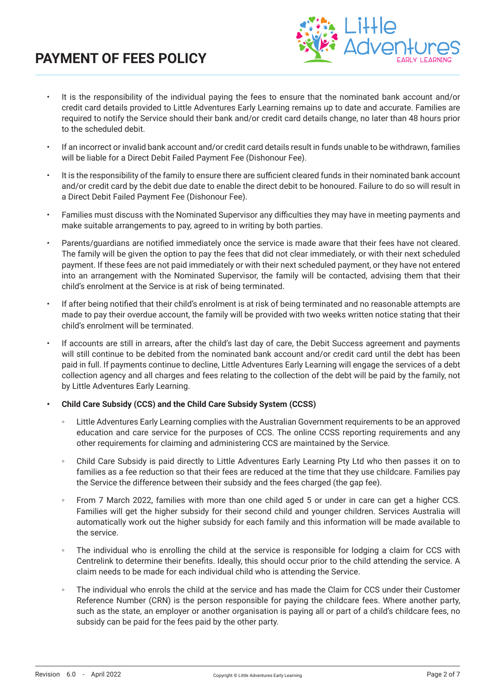# **PAYMENT OF FEES POLICY**



- It is the responsibility of the individual paying the fees to ensure that the nominated bank account and/or credit card details provided to Little Adventures Early Learning remains up to date and accurate. Families are required to notify the Service should their bank and/or credit card details change, no later than 48 hours prior to the scheduled debit.
- If an incorrect or invalid bank account and/or credit card details result in funds unable to be withdrawn, families will be liable for a Direct Debit Failed Payment Fee (Dishonour Fee).
- It is the responsibility of the family to ensure there are sufficient cleared funds in their nominated bank account and/or credit card by the debit due date to enable the direct debit to be honoured. Failure to do so will result in a Direct Debit Failed Payment Fee (Dishonour Fee).
- Families must discuss with the Nominated Supervisor any difficulties they may have in meeting payments and make suitable arrangements to pay, agreed to in writing by both parties.
- Parents/guardians are notified immediately once the service is made aware that their fees have not cleared. The family will be given the option to pay the fees that did not clear immediately, or with their next scheduled payment. If these fees are not paid immediately or with their next scheduled payment, or they have not entered into an arrangement with the Nominated Supervisor, the family will be contacted, advising them that their child's enrolment at the Service is at risk of being terminated.
- If after being notified that their child's enrolment is at risk of being terminated and no reasonable attempts are made to pay their overdue account, the family will be provided with two weeks written notice stating that their child's enrolment will be terminated.
- If accounts are still in arrears, after the child's last day of care, the Debit Success agreement and payments will still continue to be debited from the nominated bank account and/or credit card until the debt has been paid in full. If payments continue to decline, Little Adventures Early Learning will engage the services of a debt collection agency and all charges and fees relating to the collection of the debt will be paid by the family, not by Little Adventures Early Learning.
- **• Child Care Subsidy (CCS) and the Child Care Subsidy System (CCSS)**
	- Little Adventures Early Learning complies with the Australian Government requirements to be an approved education and care service for the purposes of CCS. The online CCSS reporting requirements and any other requirements for claiming and administering CCS are maintained by the Service.
	- Child Care Subsidy is paid directly to Little Adventures Early Learning Pty Ltd who then passes it on to families as a fee reduction so that their fees are reduced at the time that they use childcare. Families pay the Service the difference between their subsidy and the fees charged (the gap fee).
	- From 7 March 2022, families with more than one child aged 5 or under in care can get a higher CCS. Families will get the higher subsidy for their second child and younger children. Services Australia will automatically work out the higher subsidy for each family and this information will be made available to the service.
	- The individual who is enrolling the child at the service is responsible for lodging a claim for CCS with Centrelink to determine their benefits. Ideally, this should occur prior to the child attending the service. A claim needs to be made for each individual child who is attending the Service.
	- The individual who enrols the child at the service and has made the Claim for CCS under their Customer Reference Number (CRN) is the person responsible for paying the childcare fees. Where another party, such as the state, an employer or another organisation is paying all or part of a child's childcare fees, no subsidy can be paid for the fees paid by the other party.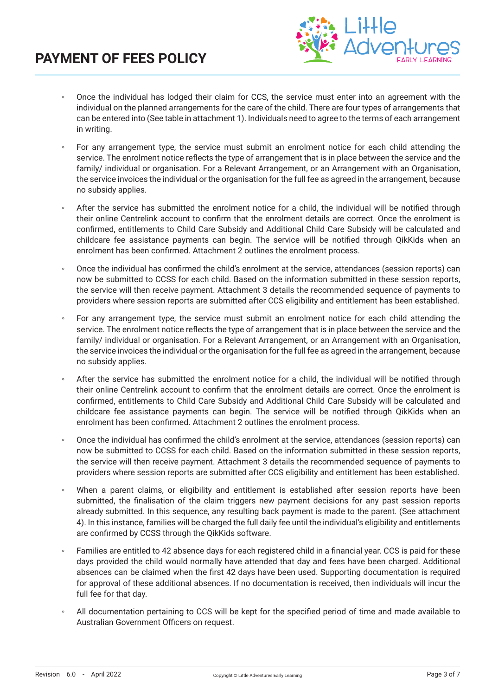

- Once the individual has lodged their claim for CCS, the service must enter into an agreement with the individual on the planned arrangements for the care of the child. There are four types of arrangements that can be entered into (See table in attachment 1). Individuals need to agree to the terms of each arrangement in writing.
- For any arrangement type, the service must submit an enrolment notice for each child attending the service. The enrolment notice reflects the type of arrangement that is in place between the service and the family/ individual or organisation. For a Relevant Arrangement, or an Arrangement with an Organisation, the service invoices the individual or the organisation for the full fee as agreed in the arrangement, because no subsidy applies.
- After the service has submitted the enrolment notice for a child, the individual will be notified through their online Centrelink account to confirm that the enrolment details are correct. Once the enrolment is confirmed, entitlements to Child Care Subsidy and Additional Child Care Subsidy will be calculated and childcare fee assistance payments can begin. The service will be notified through QikKids when an enrolment has been confirmed. Attachment 2 outlines the enrolment process.
- Once the individual has confirmed the child's enrolment at the service, attendances (session reports) can now be submitted to CCSS for each child. Based on the information submitted in these session reports, the service will then receive payment. Attachment 3 details the recommended sequence of payments to providers where session reports are submitted after CCS eligibility and entitlement has been established.
- For any arrangement type, the service must submit an enrolment notice for each child attending the service. The enrolment notice reflects the type of arrangement that is in place between the service and the family/ individual or organisation. For a Relevant Arrangement, or an Arrangement with an Organisation, the service invoices the individual or the organisation for the full fee as agreed in the arrangement, because no subsidy applies.
- After the service has submitted the enrolment notice for a child, the individual will be notified through their online Centrelink account to confirm that the enrolment details are correct. Once the enrolment is confirmed, entitlements to Child Care Subsidy and Additional Child Care Subsidy will be calculated and childcare fee assistance payments can begin. The service will be notified through QikKids when an enrolment has been confirmed. Attachment 2 outlines the enrolment process.
- Once the individual has confirmed the child's enrolment at the service, attendances (session reports) can now be submitted to CCSS for each child. Based on the information submitted in these session reports, the service will then receive payment. Attachment 3 details the recommended sequence of payments to providers where session reports are submitted after CCS eligibility and entitlement has been established.
- When a parent claims, or eligibility and entitlement is established after session reports have been submitted, the finalisation of the claim triggers new payment decisions for any past session reports already submitted. In this sequence, any resulting back payment is made to the parent. (See attachment 4). In this instance, families will be charged the full daily fee until the individual's eligibility and entitlements are confirmed by CCSS through the QikKids software.
- Families are entitled to 42 absence days for each registered child in a financial year. CCS is paid for these days provided the child would normally have attended that day and fees have been charged. Additional absences can be claimed when the first 42 days have been used. Supporting documentation is required for approval of these additional absences. If no documentation is received, then individuals will incur the full fee for that day.
- All documentation pertaining to CCS will be kept for the specified period of time and made available to Australian Government Officers on request.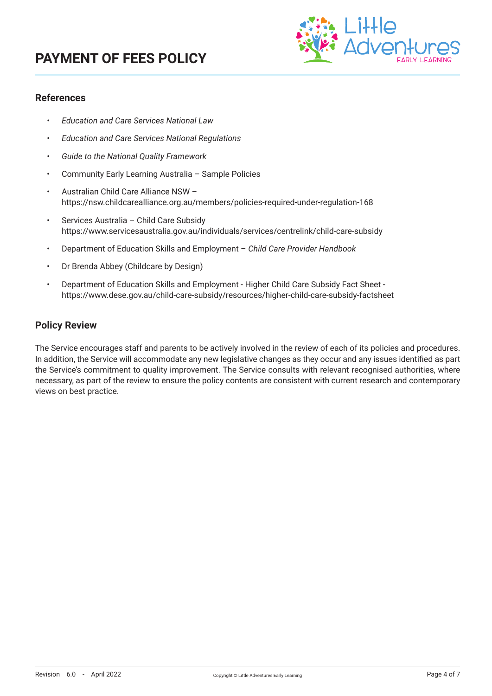# **PAYMENT OF FEES POLICY**



#### **References**

- *• Education and Care Services National Law*
- *• Education and Care Services National Regulations*
- *• Guide to the National Quality Framework*
- Community Early Learning Australia Sample Policies
- Australian Child Care Alliance NSW https://nsw.childcarealliance.org.au/members/policies-required-under-regulation-168
- Services Australia Child Care Subsidy https://www.servicesaustralia.gov.au/individuals/services/centrelink/child-care-subsidy
- Department of Education Skills and Employment *Child Care Provider Handbook*
- Dr Brenda Abbey (Childcare by Design)
- Department of Education Skills and Employment Higher Child Care Subsidy Fact Sheet https://www.dese.gov.au/child-care-subsidy/resources/higher-child-care-subsidy-factsheet

#### **Policy Review**

The Service encourages staff and parents to be actively involved in the review of each of its policies and procedures. In addition, the Service will accommodate any new legislative changes as they occur and any issues identified as part the Service's commitment to quality improvement. The Service consults with relevant recognised authorities, where necessary, as part of the review to ensure the policy contents are consistent with current research and contemporary views on best practice.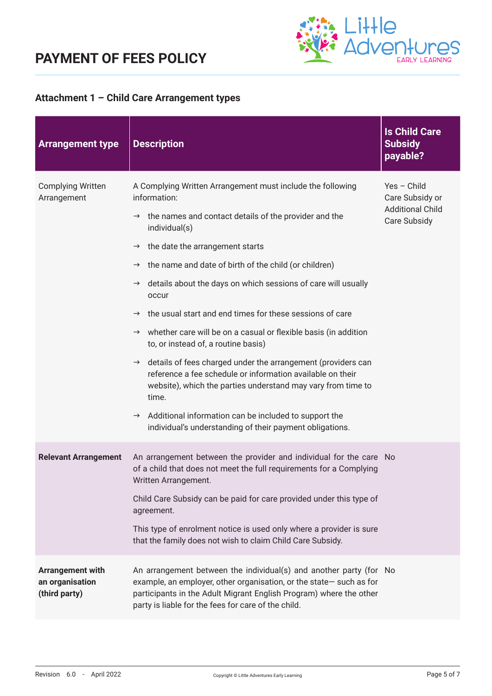

### **Attachment 1 – Child Care Arrangement types**

| <b>Arrangement type</b>                                     | <b>Description</b>                                                                                                                                                                                                                                                                                                                                                                                                                                                                                                                                                                                                                                                                                                                                                                                                                                                                                                                                       | <b>Is Child Care</b><br><b>Subsidy</b><br>payable?                        |
|-------------------------------------------------------------|----------------------------------------------------------------------------------------------------------------------------------------------------------------------------------------------------------------------------------------------------------------------------------------------------------------------------------------------------------------------------------------------------------------------------------------------------------------------------------------------------------------------------------------------------------------------------------------------------------------------------------------------------------------------------------------------------------------------------------------------------------------------------------------------------------------------------------------------------------------------------------------------------------------------------------------------------------|---------------------------------------------------------------------------|
| <b>Complying Written</b><br>Arrangement                     | A Complying Written Arrangement must include the following<br>information:<br>$\rightarrow$ the names and contact details of the provider and the<br>individual(s)<br>the date the arrangement starts<br>$\rightarrow$<br>the name and date of birth of the child (or children)<br>$\rightarrow$<br>details about the days on which sessions of care will usually<br>$\rightarrow$<br>occur<br>the usual start and end times for these sessions of care<br>$\rightarrow$<br>$\rightarrow$ whether care will be on a casual or flexible basis (in addition<br>to, or instead of, a routine basis)<br>$\rightarrow$ details of fees charged under the arrangement (providers can<br>reference a fee schedule or information available on their<br>website), which the parties understand may vary from time to<br>time.<br>$\rightarrow$ Additional information can be included to support the<br>individual's understanding of their payment obligations. | Yes - Child<br>Care Subsidy or<br><b>Additional Child</b><br>Care Subsidy |
| <b>Relevant Arrangement</b>                                 | An arrangement between the provider and individual for the care No<br>of a child that does not meet the full requirements for a Complying<br>Written Arrangement.<br>Child Care Subsidy can be paid for care provided under this type of<br>agreement.<br>This type of enrolment notice is used only where a provider is sure<br>that the family does not wish to claim Child Care Subsidy.                                                                                                                                                                                                                                                                                                                                                                                                                                                                                                                                                              |                                                                           |
| <b>Arrangement with</b><br>an organisation<br>(third party) | An arrangement between the individual(s) and another party (for No<br>example, an employer, other organisation, or the state-such as for<br>participants in the Adult Migrant English Program) where the other<br>party is liable for the fees for care of the child.                                                                                                                                                                                                                                                                                                                                                                                                                                                                                                                                                                                                                                                                                    |                                                                           |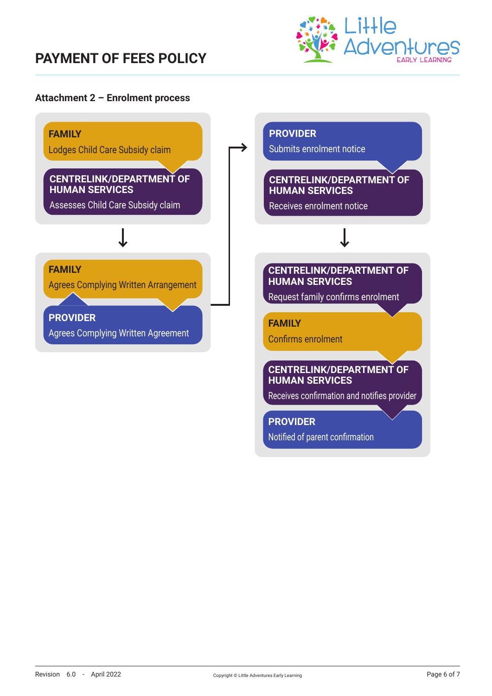### **PAYMENT OF FEES POLICY**



#### **Attachment 2 – Enrolment process**